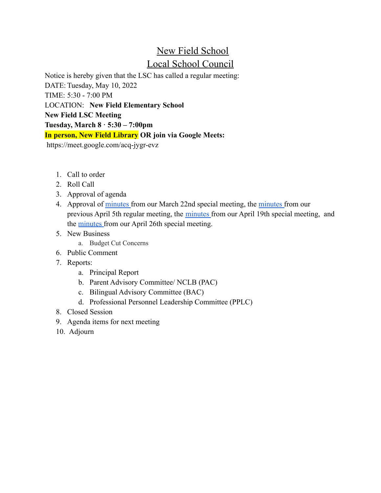## New Field School Local School Council

Notice is hereby given that the LSC has called a regular meeting: DATE: Tuesday, May 10, 2022 TIME: 5:30 - 7:00 PM LOCATION: **New Field Elementary School New Field LSC Meeting Tuesday, March 8 · 5:30 – 7:00pm In person, New Field Library OR join via Google Meets:** https://meet.google.com/acq-jygr-evz

- 1. Call to order
- 2. Roll Call
- 3. Approval of agenda
- 4. Approval of [minutes](https://docs.google.com/document/d/1xmahhBzPDHkfdQepl-jOQTe3P6CQVHG8-uLmK8wDzF0/edit) from our March 22nd special meeting, the [minutes](https://docs.google.com/document/d/1Odw8KZtWg2FMQbctUAo5MtO50Q5KN-KX/edit) from our previous April 5th regular meeting, the [minutes](https://docs.google.com/document/d/1uo7XaC2MPaZ2S8I-rTVoas5yQJ7bqQS2/edit) from our April 19th special meeting, and the [minutes](https://docs.google.com/document/d/1qK2oFKh1Q3w688Zmn1f1lsF35Fek7U6n/edit) from our April 26th special meeting.
- 5. New Business
	- a. Budget Cut Concerns
- 6. Public Comment
- 7. Reports:
	- a. Principal Report
	- b. Parent Advisory Committee/ NCLB (PAC)
	- c. Bilingual Advisory Committee (BAC)
	- d. Professional Personnel Leadership Committee (PPLC)
- 8. Closed Session
- 9. Agenda items for next meeting
- 10. Adjourn